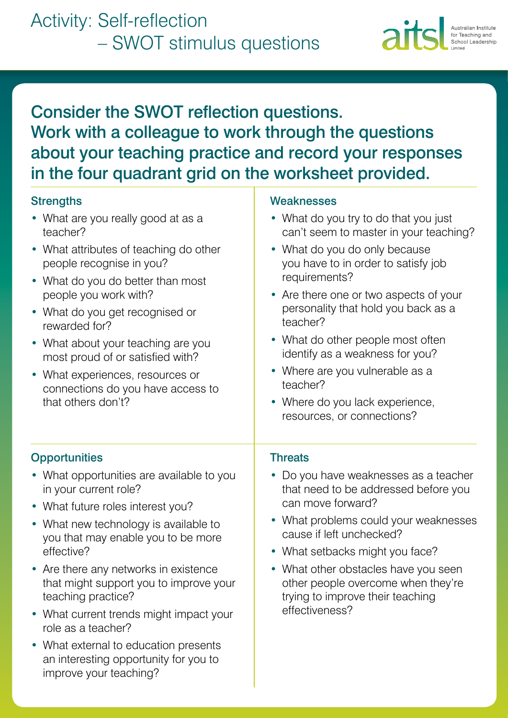

# Consider the SWOT reflection questions. Work with a colleague to work through the questions about your teaching practice and record your responses in the four quadrant grid on the worksheet provided.

### **Strengths**

- What are you really good at as a teacher?
- What attributes of teaching do other people recognise in you?
- What do you do better than most people you work with?
- What do you get recognised or rewarded for?
- What about your teaching are you most proud of or satisfied with?
- What experiences, resources or connections do you have access to that others don't?

#### **Weaknesses**

- What do you try to do that you just can't seem to master in your teaching?
- What do you do only because you have to in order to satisfy job requirements?
- Are there one or two aspects of your personality that hold you back as a teacher?
- What do other people most often identify as a weakness for you?
- Where are you vulnerable as a teacher?
- Where do you lack experience, resources, or connections?

## **Opportunities**

- What opportunities are available to you in your current role?
- What future roles interest you?
- What new technology is available to you that may enable you to be more effective?
- Are there any networks in existence that might support you to improve your teaching practice?
- What current trends might impact your role as a teacher?
- What external to education presents an interesting opportunity for you to improve your teaching?

#### **Threats**

- Do you have weaknesses as a teacher that need to be addressed before you can move forward?
- What problems could your weaknesses cause if left unchecked?
- What setbacks might you face?
- What other obstacles have you seen other people overcome when they're trying to improve their teaching effectiveness?